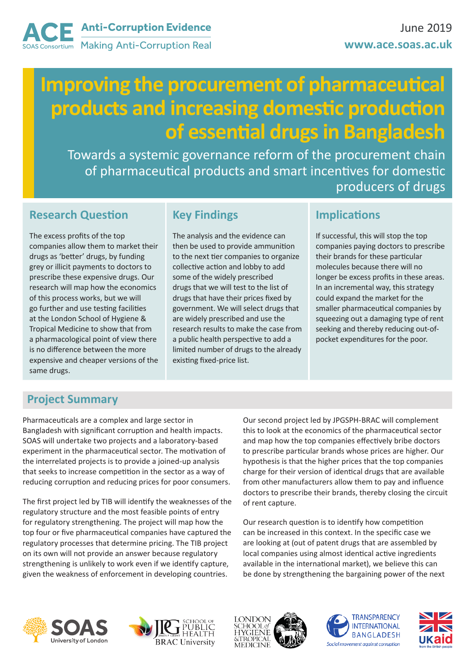# **Improving the procurement of pharmaceutical products and increasing domestic production of essential drugs in Bangladesh**

Towards a systemic governance reform of the procurement chain of pharmaceutical products and smart incentives for domestic producers of drugs

## **Research Question**

The excess profits of the top companies allow them to market their drugs as 'better' drugs, by funding grey or illicit payments to doctors to prescribe these expensive drugs. Our research will map how the economics of this process works, but we will go further and use testing facilities at the London School of Hygiene & Tropical Medicine to show that from a pharmacological point of view there is no difference between the more expensive and cheaper versions of the same drugs.

# **Key Findings**

The analysis and the evidence can then be used to provide ammunition to the next tier companies to organize collective action and lobby to add some of the widely prescribed drugs that we will test to the list of drugs that have their prices fixed by government. We will select drugs that are widely prescribed and use the research results to make the case from a public health perspective to add a limited number of drugs to the already existing fixed-price list.

### **Implications**

If successful, this will stop the top companies paying doctors to prescribe their brands for these particular molecules because there will no longer be excess profits in these areas. In an incremental way, this strategy could expand the market for the smaller pharmaceutical companies by squeezing out a damaging type of rent seeking and thereby reducing out-ofpocket expenditures for the poor.

# **Project Summary**

Pharmaceuticals are a complex and large sector in Bangladesh with significant corruption and health impacts. SOAS will undertake two projects and a laboratory-based experiment in the pharmaceutical sector. The motivation of the interrelated projects is to provide a joined-up analysis that seeks to increase competition in the sector as a way of reducing corruption and reducing prices for poor consumers.

The first project led by TIB will identify the weaknesses of the regulatory structure and the most feasible points of entry for regulatory strengthening. The project will map how the top four or five pharmaceutical companies have captured the regulatory processes that determine pricing. The TIB project on its own will not provide an answer because regulatory strengthening is unlikely to work even if we identify capture, given the weakness of enforcement in developing countries.

Our second project led by JPGSPH-BRAC will complement this to look at the economics of the pharmaceutical sector and map how the top companies effectively bribe doctors to prescribe particular brands whose prices are higher. Our hypothesis is that the higher prices that the top companies charge for their version of identical drugs that are available from other manufacturers allow them to pay and influence doctors to prescribe their brands, thereby closing the circuit of rent capture.

Our research question is to identify how competition can be increased in this context. In the specific case we are looking at (out of patent drugs that are assembled by local companies using almost identical active ingredients available in the international market), we believe this can be done by strengthening the bargaining power of the next